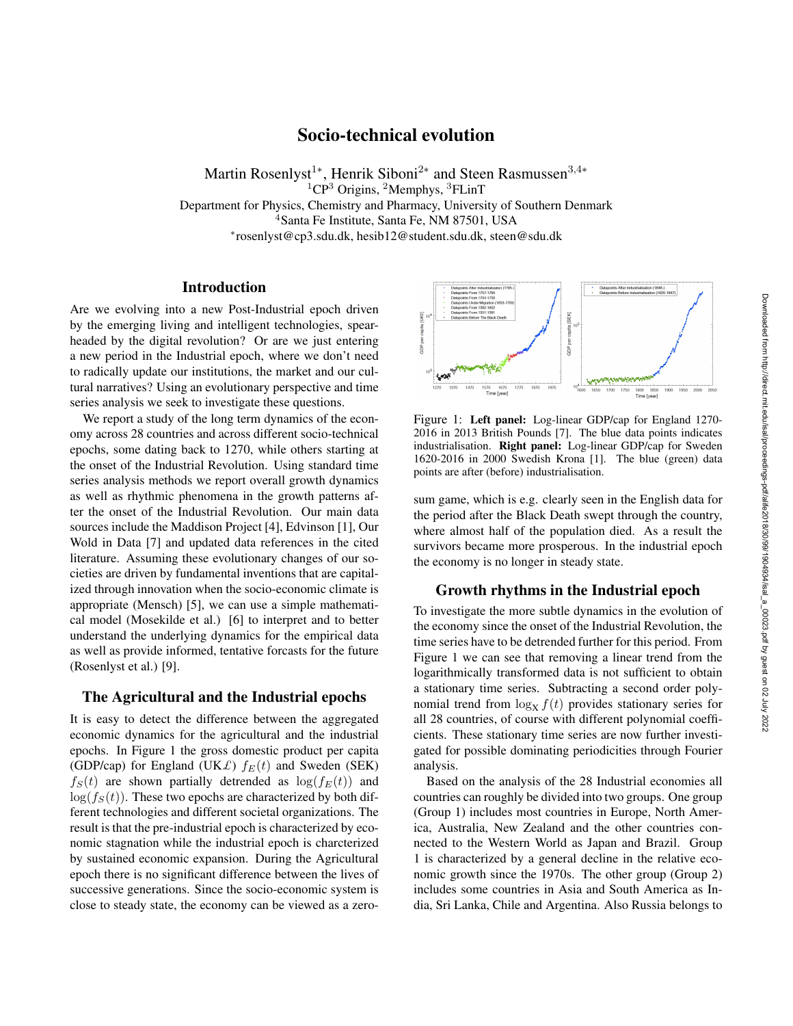# Socio-technical evolution

Martin Rosenlyst<sup>1∗</sup>, Henrik Siboni<sup>2∗</sup> and Steen Rasmussen<sup>3,4</sup>\*  ${}^{1}CP^{3}$  Origins,  ${}^{2}$ Memphys,  ${}^{3}FLinT$ Department for Physics, Chemistry and Pharmacy, University of Southern Denmark <sup>4</sup>Santa Fe Institute, Santa Fe, NM 87501, USA ∗ rosenlyst@cp3.sdu.dk, hesib12@student.sdu.dk, steen@sdu.dk

## Introduction

Are we evolving into a new Post-Industrial epoch driven by the emerging living and intelligent technologies, spearheaded by the digital revolution? Or are we just entering a new period in the Industrial epoch, where we don't need to radically update our institutions, the market and our cultural narratives? Using an evolutionary perspective and time series analysis we seek to investigate these questions.

We report a study of the long term dynamics of the economy across 28 countries and across different socio-technical epochs, some dating back to 1270, while others starting at the onset of the Industrial Revolution. Using standard time series analysis methods we report overall growth dynamics as well as rhythmic phenomena in the growth patterns after the onset of the Industrial Revolution. Our main data sources include the Maddison Project [4], Edvinson [1], Our Wold in Data [7] and updated data references in the cited literature. Assuming these evolutionary changes of our societies are driven by fundamental inventions that are capitalized through innovation when the socio-economic climate is appropriate (Mensch) [5], we can use a simple mathematical model (Mosekilde et al.) [6] to interpret and to better understand the underlying dynamics for the empirical data as well as provide informed, tentative forcasts for the future (Rosenlyst et al.) [9].

### The Agricultural and the Industrial epochs

It is easy to detect the difference between the aggregated economic dynamics for the agricultural and the industrial epochs. In Figure 1 the gross domestic product per capita (GDP/cap) for England (UK $\mathcal{L}$ )  $f_E(t)$  and Sweden (SEK)  $f_S(t)$  are shown partially detrended as  $\log(f_E(t))$  and  $log(f<sub>S</sub>(t))$ . These two epochs are characterized by both different technologies and different societal organizations. The result is that the pre-industrial epoch is characterized by economic stagnation while the industrial epoch is charcterized by sustained economic expansion. During the Agricultural epoch there is no significant difference between the lives of successive generations. Since the socio-economic system is close to steady state, the economy can be viewed as a zero-



Figure 1: Left panel: Log-linear GDP/cap for England 1270- 2016 in 2013 British Pounds [7]. The blue data points indicates industrialisation. Right panel: Log-linear GDP/cap for Sweden 1620-2016 in 2000 Swedish Krona [1]. The blue (green) data points are after (before) industrialisation.

sum game, which is e.g. clearly seen in the English data for the period after the Black Death swept through the country, where almost half of the population died. As a result the survivors became more prosperous. In the industrial epoch the economy is no longer in steady state.

## Growth rhythms in the Industrial epoch

To investigate the more subtle dynamics in the evolution of the economy since the onset of the Industrial Revolution, the time series have to be detrended further for this period. From Figure 1 we can see that removing a linear trend from the logarithmically transformed data is not sufficient to obtain a stationary time series. Subtracting a second order polynomial trend from  $\log_X f(t)$  provides stationary series for all 28 countries, of course with different polynomial coefficients. These stationary time series are now further investigated for possible dominating periodicities through Fourier analysis.

Based on the analysis of the 28 Industrial economies all countries can roughly be divided into two groups. One group (Group 1) includes most countries in Europe, North America, Australia, New Zealand and the other countries connected to the Western World as Japan and Brazil. Group 1 is characterized by a general decline in the relative economic growth since the 1970s. The other group (Group 2) includes some countries in Asia and South America as India, Sri Lanka, Chile and Argentina. Also Russia belongs to